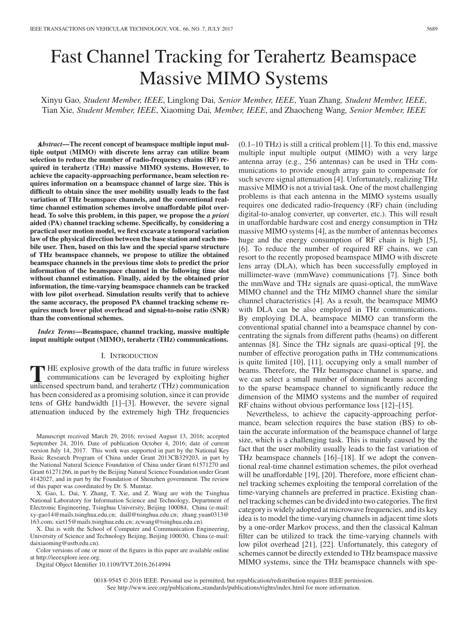# Fast Channel Tracking for Terahertz Beamspace Massive MIMO Systems

Xinyu Gao*, Student Member, IEEE*, Linglong Dai*, Senior Member, IEEE*, Yuan Zhang*, Student Member, IEEE*, Tian Xie*, Student Member, IEEE*, Xiaoming Dai*, Member, IEEE*, and Zhaocheng Wang*, Senior Member, IEEE*

x *Abstract***—The recent concept of beamspace multiple input multiple output (MIMO) with discrete lens array can utilize beam selection to reduce the number of radio-frequency chains (RF) required in terahertz (THz) massive MIMO systems. However, to achieve the capacity-approaching performance, beam selection requires information on a beamspace channel of large size. This is difficult to obtain since the user mobility usually leads to the fast variation of THz beamspace channels, and the conventional realtime channel estimation schemes involve unaffordable pilot overhead. To solve this problem, in this paper, we propose the** *a priori* **aided (PA) channel tracking scheme. Specifically, by considering a practical user motion model, we first excavate a temporal variation law of the physical direction between the base station and each mobile user. Then, based on this law and the special sparse structure of THz beamspace channels, we propose to utilize the obtained beamspace channels in the previous time slots to predict the prior information of the beamspace channel in the following time slot without channel estimation. Finally, aided by the obtained prior information, the time-varying beamspace channels can be tracked with low pilot overhead. Simulation results verify that to achieve the same accuracy, the proposed PA channel tracking scheme requires much lower pilot overhead and signal-to-noise ratio (SNR) than the conventional schemes.**

*Index Terms***—Beamspace, channel tracking, massive multiple input multiple output (MIMO), terahertz (THz) communications.**

### I. INTRODUCTION

**T** HE explosive growth of the data traffic in future wireless<br>communications can be leveraged by exploiting higher<br>unlicensed spectrum band, and terahertz (THz) communication unlicensed spectrum band, and terahertz (THz) communication has been considered as a promising solution, since it can provide tens of GHz bandwidth [1]–[3]. However, the severe signal attenuation induced by the extremely high THz frequencies

Manuscript received March 29, 2016; revised August 13, 2016; accepted September 24, 2016. Date of publication October 4, 2016; date of current version July 14, 2017. This work was supported in part by the National Key Basic Research Program of China under Grant 2013CB329203, in part by the National Natural Science Foundation of China under Grant 61571270 and Grant 61271266, in part by the Beijing Natural Science Foundation under Grant 4142027, and in part by the Foundation of Shenzhen government. The review of this paper was coordinated by Dr. S. Mumtaz.

X. Gao, L. Dai, Y. Zhang, T. Xie, and Z. Wang are with the Tsinghua National Laboratory for Information Science and Technology, Department of Electronic Engineering, Tsinghua University, Beijing 100084, China (e-mail: xy-gao14@mails.tsinghua.edu.cn; daill@tsinghua.edu.cn; zhang.yuan0313@ 163.com; xiet15@mails.tsinghua.edu.cn; zcwang@tsinghua.edu.cn).

X. Dai is with the School of Computer and Communication Engineering, University of Science and Technology Beijing, Beijing 100030, China (e-mail: daixiaoming@ustb.edu.cn).

Color versions of one or more of the figures in this paper are available online at http://ieeexplore.ieee.org.

Digital Object Identifier 10.1109/TVT.2016.2614994

 $(0.1-10 \text{ THz})$  is still a critical problem [1]. To this end, massive multiple input multiple output (MIMO) with a very large antenna array (e.g., 256 antennas) can be used in THz communications to provide enough array gain to compensate for such severe signal attenuation [4]. Unfortunately, realizing THz massive MIMO is not a trivial task. One of the most challenging problems is that each antenna in the MIMO systems usually requires one dedicated radio-frequency (RF) chain (including digital-to-analog converter, up converter, etc.). This will result in unaffordable hardware cost and energy consumption in THz massive MIMO systems [4], as the number of antennas becomes huge and the energy consumption of RF chain is high [5], [6]. To reduce the number of required RF chains, we can resort to the recently proposed beamspace MIMO with discrete lens array (DLA), which has been successfully employed in millimeter-wave (mmWave) communications [7]. Since both the mmWave and THz signals are quasi-optical, the mmWave MIMO channel and the THz MIMO channel share the similar channel characteristics [4]. As a result, the beamspace MIMO with DLA can be also employed in THz communications. By employing DLA, beamspace MIMO can transform the conventional spatial channel into a beamspace channel by concentrating the signals from different paths (beams) on different antennas [8]. Since the THz signals are quasi-optical [9], the number of effective prorogation paths in THz communications is quite limited [10], [11], occupying only a small number of beams. Therefore, the THz beamspace channel is sparse, and we can select a small number of dominant beams according to the sparse beamspace channel to significantly reduce the dimension of the MIMO systems and the number of required RF chains without obvious performance loss [12]–[15].

Nevertheless, to achieve the capacity-approaching performance, beam selection requires the base station (BS) to obtain the accurate information of the beamspace channel of large size, which is a challenging task. This is mainly caused by the fact that the user mobility usually leads to the fast variation of THz beamspace channels [16]–[18]. If we adopt the conventional real-time channel estimation schemes, the pilot overhead will be unaffordable [19], [20]. Therefore, more efficient channel tracking schemes exploiting the temporal correlation of the time-varying channels are preferred in practice. Existing channel tracking schemes can be divided into two categories. The first category is widely adopted at microwave frequencies, and its key idea is to model the time-varying channels in adjacent time slots by a one-order Markov process, and then the classical Kalman filter can be utilized to track the time-varying channels with low pilot overhead [21], [22]. Unfortunately, this category of schemes cannot be directly extended to THz beamspace massive MIMO systems, since the THz beamspace channels with spe-

0018-9545 © 2016 IEEE. Personal use is permitted, but republication/redistribution requires IEEE permission. See http://www.ieee.org/publications.standards/publications/rights/index.html for more information.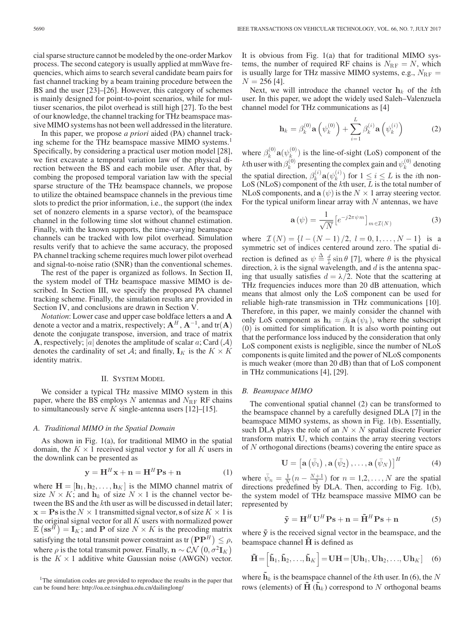cial sparse structure cannot be modeled by the one-order Markov process. The second category is usually applied at mmWave frequencies, which aims to search several candidate beam pairs for fast channel tracking by a beam training procedure between the BS and the user [23]–[26]. However, this category of schemes is mainly designed for point-to-point scenarios, while for multiuser scenarios, the pilot overhead is still high [27]. To the best of our knowledge, the channel tracking for THz beamspace massive MIMO systems has not been well addressed in the literature.

In this paper, we propose *a priori* aided (PA) channel tracking scheme for the THz beamspace massive MIMO systems.<sup>1</sup> Specifically, by considering a practical user motion model [28], we first excavate a temporal variation law of the physical direction between the BS and each mobile user. After that, by combing the proposed temporal variation law with the special sparse structure of the THz beamspace channels, we propose to utilize the obtained beamspace channels in the previous time slots to predict the prior information, i.e., the support (the index set of nonzero elements in a sparse vector), of the beamspace channel in the following time slot without channel estimation. Finally, with the known supports, the time-varying beamspace channels can be tracked with low pilot overhead. Simulation results verify that to achieve the same accuracy, the proposed PA channel tracking scheme requires much lower pilot overhead and signal-to-noise ratio (SNR) than the conventional schemes.

The rest of the paper is organized as follows. In Section II, the system model of THz beamspace massive MIMO is described. In Section III, we specify the proposed PA channel tracking scheme. Finally, the simulation results are provided in Section IV, and conclusions are drawn in Section V.

*Notation*: Lower case and upper case boldface letters **a** and **A** denote a vector and a matrix, respectively;  $A^H$ ,  $A^{-1}$ , and tr( $A$ ) denote the conjugate transpose, inversion, and trace of matrix **A**, respectively; |a| denotes the amplitude of scalar a; Card  $(A)$ denotes the cardinality of set A; and finally,  $\mathbf{I}_K$  is the  $K \times K$ identity matrix.

## II. SYSTEM MODEL

We consider a typical THz massive MIMO system in this paper, where the BS employs N antennas and  $N_{\text{RF}}$  RF chains to simultaneously serve K single-antenna users  $[12]$ – $[15]$ .

## *A. Traditional MIMO in the Spatial Domain*

As shown in Fig. 1(a), for traditional MIMO in the spatial domain, the  $K \times 1$  received signal vector **y** for all K users in the downlink can be presented as

$$
\mathbf{y} = \mathbf{H}^H \mathbf{x} + \mathbf{n} = \mathbf{H}^H \mathbf{P} \mathbf{s} + \mathbf{n} \tag{1}
$$

where  $\mathbf{H} = [\mathbf{h}_1, \mathbf{h}_2, \dots, \mathbf{h}_K]$  is the MIMO channel matrix of size  $N \times K$ ; and  $\mathbf{h}_k$  of size  $N \times 1$  is the channel vector between the BS and the kth user as will be discussed in detail later;  $\mathbf{x} = \mathbf{P}\mathbf{s}$  is the  $N \times 1$  transmitted signal vector, **s** of size  $K \times 1$  is the original signal vector for all  $K$  users with normalized power  $\mathbb{E} \left( \mathbf{s} \mathbf{s}^H \right) = \mathbf{I}_K$ ; and **P** of size  $N \times K$  is the precoding matrix satisfying the total transmit power constraint as tr  $(PP^H) \le \rho$ , where  $\rho$  is the total transmit power. Finally,  $\mathbf{n} \sim \mathcal{CN} (0, \sigma^2 \mathbf{I}_K)$ is the  $K \times 1$  additive white Gaussian noise (AWGN) vector.

It is obvious from Fig. 1(a) that for traditional MIMO systems, the number of required RF chains is  $N_{\text{RF}} = N$ , which is usually large for THz massive MIMO systems, e.g.,  $N_{\text{RF}} =$  $N = 256$  [4].

Next, we will introduce the channel vector  $h_k$  of the kth user. In this paper, we adopt the widely used Saleh–Valenzuela channel model for THz communications as [4]

$$
\mathbf{h}_{k} = \beta_{k}^{(0)} \mathbf{a}\left(\psi_{k}^{(0)}\right) + \sum_{i=1}^{L} \beta_{k}^{(i)} \mathbf{a}\left(\psi_{k}^{(i)}\right) \tag{2}
$$

where  $\beta_k^{(0)}$ **a** $(\psi_k^{(0)})$  is the line-of-sight (LoS) component of the *k*th user with  $\beta_k^{(0)}$  presenting the complex gain and  $\psi_k^{(0)}$  denoting the spatial direction,  $\beta_k^{(i)}$ **a** $(\psi_k^{(i)})$  for  $1 \le i \le L$  is the *i*th non-LoS (NLoS) component of the  $k$ th user,  $L$  is the total number of NLoS components, and  $\mathbf{a}(\psi)$  is the  $N \times 1$  array steering vector. For the typical uniform linear array with  $N$  antennas, we have

$$
\mathbf{a}\left(\psi\right) = \frac{1}{\sqrt{N}} \left[ e^{-j2\pi\psi m} \right]_{m \in \mathcal{I}(N)} \tag{3}
$$

where  $\mathcal{I}(N) = \{l - (N-1)/2, l = 0, 1, ..., N-1\}$  is a symmetric set of indices centered around zero. The spatial direction is defined as  $\psi \stackrel{\Delta}{=} \frac{d}{\lambda} \sin \theta$  [7], where  $\theta$  is the physical direction,  $\lambda$  is the signal wavelength, and d is the antenna spacing that usually satisfies  $d = \lambda/2$ . Note that the scattering at THz frequencies induces more than 20 dB attenuation, which means that almost only the LoS component can be used for reliable high-rate transmission in THz communications [10]. Therefore, in this paper, we mainly consider the channel with only LoS component as  $h_k = \beta_k \mathbf{a}(\psi_k)$ , where the subscript (0) is omitted for simplification. It is also worth pointing out that the performance loss induced by the consideration that only LoS component exists is negligible, since the number of NLoS components is quite limited and the power of NLoS components is much weaker (more than 20 dB) than that of LoS component in THz communications [4], [29].

## *B. Beamspace MIMO*

The conventional spatial channel (2) can be transformed to the beamspace channel by a carefully designed DLA [7] in the beamspace MIMO systems, as shown in Fig. 1(b). Essentially, such DLA plays the role of an  $N \times N$  spatial discrete Fourier transform matrix **U**, which contains the array steering vectors of N orthogonal directions (beams) covering the entire space as

$$
\mathbf{U} = \left[\mathbf{a}\left(\bar{\psi}_1\right), \mathbf{a}\left(\bar{\psi}_2\right), \ldots, \mathbf{a}\left(\bar{\psi}_N\right)\right]^H \tag{4}
$$

where  $\bar{\psi}_n = \frac{1}{N} (n - \frac{N+1}{2})$  for  $n = 1, 2, ..., N$  are the spatial directions predefined by DLA. Then, according to Fig. 1(b), the system model of THz beamspace massive MIMO can be represented by

$$
\tilde{\mathbf{y}} = \mathbf{H}^H \mathbf{U}^H \mathbf{P} \mathbf{s} + \mathbf{n} = \tilde{\mathbf{H}}^H \mathbf{P} \mathbf{s} + \mathbf{n} \tag{5}
$$

where  $\tilde{y}$  is the received signal vector in the beamspace, and the beamspace channel **H** is defined as

$$
\tilde{\mathbf{H}} = \begin{bmatrix} \tilde{\mathbf{h}}_1, \tilde{\mathbf{h}}_2, \dots, \tilde{\mathbf{h}}_K \end{bmatrix} = \mathbf{U} \mathbf{H} = [\mathbf{U} \mathbf{h}_1, \mathbf{U} \mathbf{h}_2, \dots, \mathbf{U} \mathbf{h}_K] \quad (6)
$$

where  $h_k$  is the beamspace channel of the kth user. In (6), the N rows (elements) of  $\mathbf{H}(\mathbf{h}_k)$  correspond to N orthogonal beams

<sup>&</sup>lt;sup>1</sup>The simulation codes are provided to reproduce the results in the paper that can be found here: http://oa.ee.tsinghua.edu.cn/dailinglong/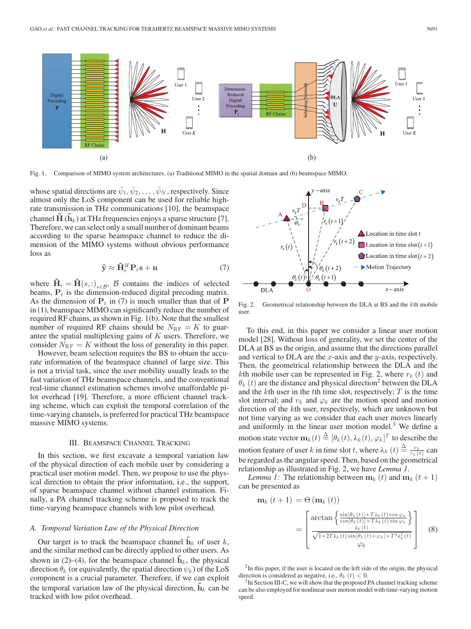

Fig. 1. Comparison of MIMO system architectures. (a) Traditional MIMO in the spatial domain and (b) beamspace MIMO.

whose spatial directions are  $\bar{\psi}_1, \bar{\psi}_2, \dots, \bar{\psi}_N$ , respectively. Since almost only the LoS component can be used for reliable highrate transmission in THz communications [10], the beamspace channel  $\mathbf{H}(\mathbf{h}_k)$  at THz frequencies enjoys a sparse structure [7]. Therefore, we can select only a small number of dominant beams according to the sparse beamspace channel to reduce the dimension of the MIMO systems without obvious performance loss as

$$
\tilde{\mathbf{y}} \approx \tilde{\mathbf{H}}_{\rm r}^H \mathbf{P}_{\rm r} \mathbf{s} + \mathbf{n} \tag{7}
$$

where  $H_r = H(s, :)_{s \in \mathcal{B}}$ , B contains the indices of selected beams,  $P_r$  is the dimension-reduced digital precoding matrix. As the dimension of  $P_r$  in (7) is much smaller than that of  $P$ in (1), beamspace MIMO can significantly reduce the number of required RF chains, as shown in Fig. 1(b). Note that the smallest number of required RF chains should be  $N_{\text{RF}} = K$  to guarantee the spatial multiplexing gains of  $K$  users. Therefore, we consider  $N_{\text{RF}} = K$  without the loss of generality in this paper.

However, beam selection requires the BS to obtain the accurate information of the beamspace channel of large size. This is not a trivial task, since the user mobility usually leads to the fast variation of THz beamspace channels, and the conventional real-time channel estimation schemes involve unaffordable pilot overhead [19]. Therefore, a more efficient channel tracking scheme, which can exploit the temporal correlation of the time-varying channels, is preferred for practical THz beamspace massive MIMO systems.

# III. BEAMSPACE CHANNEL TRACKING

In this section, we first excavate a temporal variation law of the physical direction of each mobile user by considering a practical user motion model. Then, we propose to use the physical direction to obtain the prior information, i.e., the support, of sparse beamspace channel without channel estimation. Finally, a PA channel tracking scheme is proposed to track the time-varying beamspace channels with low pilot overhead.

## *A. Temporal Variation Law of the Physical Direction*

Our target is to track the beamspace channel  $h_k$  of user  $k$ , and the similar method can be directly applied to other users. As shown in (2)–(4), for the beamspace channel  $\mathbf{h}_k$ , the physical direction  $\theta_k$  (or equivalently, the spatial direction  $\psi_k$ ) of the LoS component is a crucial parameter. Therefore, if we can exploit the temporal variation law of the physical direction,  $\mathbf{h}_k$  can be tracked with low pilot overhead.



Fig. 2. Geometrical relationship between the DLA at BS and the kth mobile user.

To this end, in this paper we consider a linear user motion model [28]. Without loss of generality, we set the center of the DLA at BS as the origin, and assume that the directions parallel and vertical to DLA are the  $x$ -axis and the  $y$ -axis, respectively. Then, the geometrical relationship between the DLA and the kth mobile user can be represented in Fig. 2, where  $r_k(t)$  and  $\theta_k$  (t) are the distance and physical direction<sup>2</sup> between the DLA and the  $k$ th user in the  $t$ th time slot, respectively;  $T$  is the time slot interval; and  $v_k$  and  $\varphi_k$  are the motion speed and motion direction of the kth user, respectively, which are unknown but not time varying as we consider that each user moves linearly and uniformly in the linear user motion model. $3$  We define a motion state vector  $\mathbf{m}_k(t) \stackrel{\Delta}{=} [\theta_k(t), \lambda_k(t), \varphi_k]^T$  to describe the motion feature of user k in time slot t, where  $\lambda_k$   $(t) \triangleq \frac{v_k}{r_k(t)}$  can be regarded as the angular speed. Then, based on the geometrical relationship as illustrated in Fig. 2, we have *Lemma 1*.

*Lemma 1:* The relationship between  $\mathbf{m}_k(t)$  and  $\mathbf{m}_k(t+1)$ can be presented as

$$
\mathbf{m}_{k}(t+1) = \Theta(\mathbf{m}_{k}(t))
$$
\n
$$
= \begin{bmatrix}\n\arctan\left\{\frac{\sin[\theta_{k}(t)] + T\lambda_{k}(t)\cos\varphi_{k}}{\cos[\theta_{k}(t)] + T\lambda_{k}(t)\sin\varphi_{k}}\right\} \\
\frac{\lambda_{k}(t)}{\sqrt{1 + 2T\lambda_{k}(t)\sin[\theta_{k}(t) + \varphi_{k}] + T^{2}\lambda_{k}^{2}(t)}}\n\end{bmatrix} \tag{8}
$$

 $2$ In this paper, if the user is located on the left side of the origin, the physical direction is considered as negative, i.e.,  $\theta_k$  (t) < 0.<br><sup>3</sup>In Section III-C, we will show that the proposed PA channel tracking scheme

can be also employed for nonlinear user motion model with time-varying motion speed.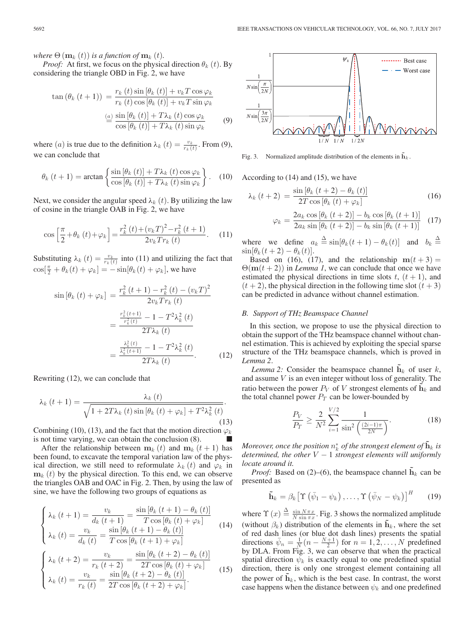*where*  $\Theta(\mathbf{m}_k(t))$  *is a function of*  $\mathbf{m}_k(t)$ *.* 

*Proof:* At first, we focus on the physical direction  $\theta_k(t)$ . By considering the triangle OBD in Fig. 2, we have

$$
\tan (\theta_k (t+1)) = \frac{r_k (t) \sin [\theta_k (t)] + v_k T \cos \varphi_k}{r_k (t) \cos [\theta_k (t)] + v_k T \sin \varphi_k}
$$

$$
\stackrel{(a)}{=} \frac{\sin [\theta_k (t)] + T \lambda_k (t) \cos \varphi_k}{\cos [\theta_k (t)] + T \lambda_k (t) \sin \varphi_k}
$$
(9)

where (*a*) is true due to the definition  $\lambda_k$  (*t*) =  $\frac{v_k}{r_k(t)}$ . From (9), we can conclude that

$$
\theta_k(t+1) = \arctan\left\{\frac{\sin\left[\theta_k(t)\right] + T\lambda_k(t)\cos\varphi_k}{\cos\left[\theta_k(t)\right] + T\lambda_k(t)\sin\varphi_k}\right\}.
$$
 (10)

Next, we consider the angular speed  $\lambda_k(t)$ . By utilizing the law of cosine in the triangle OAB in Fig. 2, we have

$$
\cos\left[\frac{\pi}{2} + \theta_k(t) + \varphi_k\right] = \frac{r_k^2(t) + (v_k T)^2 - r_k^2(t+1)}{2v_k Tr_k(t)}.
$$
 (11)

Substituting  $\lambda_k(t) = \frac{v_k}{r_k(t)}$  into (11) and utilizing the fact that  $\cos[\frac{\pi}{2} + \theta_k(t) + \varphi_k] = -\sin[\theta_k(t) + \varphi_k]$ , we have

$$
\sin\left[\theta_{k}\left(t\right)+\varphi_{k}\right] = \frac{r_{k}^{2}\left(t+1\right)-r_{k}^{2}\left(t\right)-\left(v_{k}T\right)^{2}}{2v_{k}Tr_{k}\left(t\right)}
$$
\n
$$
= \frac{\frac{r_{k}^{2}\left(t+1\right)}{r_{k}^{2}\left(t\right)}-1-T^{2}\lambda_{k}^{2}\left(t\right)}{2T\lambda_{k}\left(t\right)}
$$
\n
$$
= \frac{\frac{\lambda_{k}^{2}\left(t\right)}{2T\lambda_{k}\left(t\right)}-1-T^{2}\lambda_{k}^{2}\left(t\right)}{2T\lambda_{k}\left(t\right)}.
$$
\n(12)

Rewriting (12), we can conclude that

$$
\lambda_{k}\left(t+1\right) = \frac{\lambda_{k}\left(t\right)}{\sqrt{1+2T\lambda_{k}\left(t\right)\sin\left[\theta_{k}\left(t\right)+\varphi_{k}\right]+T^{2}\lambda_{k}^{2}\left(t\right)}}.
$$
\n(13)

Combining (10), (13), and the fact that the motion direction  $\varphi_k$ is not time varying, we can obtain the conclusion  $(8)$ .

After the relationship between  $\mathbf{m}_k(t)$  and  $\mathbf{m}_k(t+1)$  has been found, to excavate the temporal variation law of the physical direction, we still need to reformulate  $\lambda_k(t)$  and  $\varphi_k$  in  $\mathbf{m}_k$  (t) by the physical direction. To this end, we can observe the triangles OAB and OAC in Fig. 2. Then, by using the law of sine, we have the following two groups of equations as

$$
\begin{cases}\n\lambda_k(t+1) = \frac{v_k}{d_k(t+1)} = \frac{\sin\left[\theta_k(t+1) - \theta_k(t)\right]}{T\cos\left[\theta_k(t) + \varphi_k\right]} \\
\lambda_k(t) = \frac{v_k}{d_k(t)} = \frac{\sin\left[\theta_k(t+1) - \theta_k(t)\right]}{T\cos\left[\theta_k(t+1) + \varphi_k\right]} \\
\lambda_k(t+2) = \frac{v_k}{r_k(t+2)} = \frac{\sin\left[\theta_k(t+2) - \theta_k(t)\right]}{2T\cos\left[\theta_k(t) + \varphi_k\right]} \\
\lambda_k(t) = \frac{v_k}{r_k(t)} = \frac{\sin\left[\theta_k(t+2) - \theta_k(t)\right]}{2T\cos\left[\theta_k(t+2) + \varphi_k\right]}.\n\end{cases}
$$
\n(15)



Fig. 3. Normalized amplitude distribution of the elements in  $\mathbf{h}_k$ .

According to (14) and (15), we have

$$
\lambda_{k}\left(t+2\right) = \frac{\sin\left[\theta_{k}\left(t+2\right)-\theta_{k}\left(t\right)\right]}{2T\cos\left[\theta_{k}\left(t\right)+\varphi_{k}\right]}
$$
\n(16)

$$
\varphi_k = \frac{2a_k \cos\left[\theta_k \left(t+2\right)\right] - b_k \cos\left[\theta_k \left(t+1\right)\right]}{2a_k \sin\left[\theta_k \left(t+2\right)\right] - b_k \sin\left[\theta_k \left(t+1\right)\right]} \tag{17}
$$

where we define  $a_k \stackrel{\Delta}{=} \sin[\theta_k(t+1) - \theta_k(t)]$  and  $b_k \stackrel{\Delta}{=}$  $\sin[\theta_k(t+2) - \theta_k(t)].$ 

Based on (16), (17), and the relationship  $m(t + 3) =$  $\Theta(\mathbf{m}(t+2))$  in *Lemma 1*, we can conclude that once we have estimated the physical directions in time slots  $t, (t + 1)$ , and  $(t + 2)$ , the physical direction in the following time slot  $(t + 3)$ can be predicted in advance without channel estimation.

#### *B. Support of THz Beamspace Channel*

In this section, we propose to use the physical direction to obtain the support of the THz beamspace channel without channel estimation. This is achieved by exploiting the special sparse structure of the THz beamspace channels, which is proved in *Lemma 2*.

*Lemma 2:* Consider the beamspace channel  $h_k$  of user  $k$ , and assume V is an even integer without loss of generality. The ratio between the power  $P_V$  of V strongest elements of  $\mathbf{h}_k$  and the total channel power  $P_T$  can be lower-bounded by

$$
\frac{P_V}{P_T} \ge \frac{2}{N^2} \sum_{i=1}^{V/2} \frac{1}{\sin^2\left(\frac{(2i-1)\pi}{2N}\right)}.\tag{18}
$$

 $M$ oreover, once the position  $n_k^*$  of the strongest element of  $\mathbf{\tilde{h}}_k$  is *determined, the other* V − 1 *strongest elements will uniformly locate around it.*

*Proof:* Based on (2)–(6), the beamspace channel  $\tilde{\mathbf{h}}_k$  can be presented as

$$
\widetilde{\mathbf{h}}_k = \beta_k \left[ \Upsilon \left( \bar{\psi}_1 - \psi_k \right), \dots, \Upsilon \left( \bar{\psi}_N - \psi_k \right) \right]^H \qquad (19)
$$

where  $\Upsilon(x) \triangleq \frac{\sin N \pi x}{N \sin \pi x}$ . Fig. 3 shows the normalized amplitude (without  $\beta_k$ ) distribution of the elements in  $\tilde{\mathbf{h}}_k$ , where the set of red dash lines (or blue dot dash lines) presents the spatial directions  $\bar{\psi}_n = \frac{1}{N}(n - \frac{N+1}{2})$  for  $n = 1, 2, ..., N$  predefined by DLA. From Fig. 3, we can observe that when the practical spatial direction  $\psi_k$  is exactly equal to one predefined spatial direction, there is only one strongest element containing all the power of  $\mathbf{h}_k$ , which is the best case. In contrast, the worst case happens when the distance between  $\psi_k$  and one predefined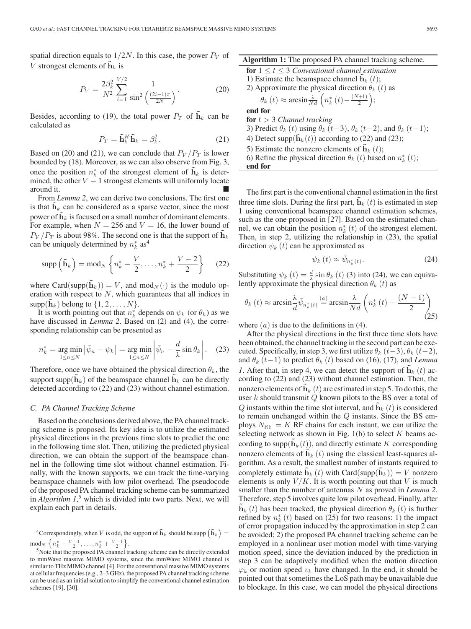spatial direction equals to  $1/2N$ . In this case, the power  $P_V$  of V strongest elements of  $\mathbf{h}_k$  is

$$
P_V = \frac{2\beta_k^2}{N^2} \sum_{i=1}^{V/2} \frac{1}{\sin^2\left(\frac{(2i-1)\pi}{2N}\right)}.\tag{20}
$$

Besides, according to (19), the total power  $P_T$  of  $\tilde{\mathbf{h}}_k$  can be calculated as

$$
P_T = \tilde{\mathbf{h}}_k^H \tilde{\mathbf{h}}_k = \beta_k^2.
$$
 (21)

Based on (20) and (21), we can conclude that  $P_V/P_T$  is lower bounded by (18). Moreover, as we can also observe from Fig. 3, once the position  $n_k^*$  of the strongest element of  $\tilde{\mathbf{h}}_k$  is determined, the other  $V - 1$  strongest elements will uniformly locate around it.

From *Lemma 2*, we can derive two conclusions. The first one is that  $h_k$  can be considered as a sparse vector, since the most power of  $\mathbf{h}_k$  is focused on a small number of dominant elements. For example, when  $N = 256$  and  $V = 16$ , the lower bound of  $P_V/P_T$  is about 98%. The second one is that the support of  $h_k$ can be uniquely determined by  $n_k^*$  as<sup>4</sup>

$$
\operatorname{supp}\left(\tilde{\mathbf{h}}_{k}\right)=\operatorname{mod}_{N}\left\{n_{k}^{*}-\frac{V}{2},\ldots,n_{k}^{*}+\frac{V-2}{2}\right\}\quad(22)
$$

where Card(supp( $\mathbf{h}_k$ )) = V, and mod<sub>N</sub>( $\cdot$ ) is the modulo operation with respect to  $N$ , which guarantees that all indices in  $supp(\mathbf{h}_k)$  belong to  $\{1, 2, \ldots, N\}.$ 

It is worth pointing out that  $n_k^*$  depends on  $\psi_k$  (or  $\theta_k$ ) as we have discussed in *Lemma 2*. Based on (2) and (4), the corresponding relationship can be presented as

$$
n_k^* = \underset{1 \le n \le N}{\arg \min} \left| \bar{\psi}_n - \psi_k \right| = \underset{1 \le n \le N}{\arg \min} \left| \bar{\psi}_n - \frac{d}{\lambda} \sin \theta_k \right|.
$$
 (23)

Therefore, once we have obtained the physical direction  $\theta_k$ , the support supp $(h_k)$  of the beamspace channel  $h_k$  can be directly detected according to (22) and (23) without channel estimation.

#### *C. PA Channel Tracking Scheme*

Based on the conclusions derived above, the PA channel tracking scheme is proposed. Its key idea is to utilize the estimated physical directions in the previous time slots to predict the one in the following time slot. Then, utilizing the predicted physical direction, we can obtain the support of the beamspace channel in the following time slot without channel estimation. Finally, with the known supports, we can track the time-varying beamspace channels with low pilot overhead. The pseudocode of the proposed PA channel tracking scheme can be summarized in *Algorithm 1*, <sup>5</sup> which is divided into two parts. Next, we will explain each part in details.

<sup>4</sup>Correspondingly, when V is odd, the support of  $\tilde{\mathbf{h}}_k$  should be supp  $(\tilde{\mathbf{h}}_k)$  =  $mod_N \left\{ n_k^* - \frac{V-1}{2}, \ldots, n_k^* + \frac{V-1}{2} \right\}.$ 

**Algorithm 1:** The proposed PA channel tracking scheme.

**for**  $1 \le t \le 3$  *Conventional channel estimation* 

1) Estimate the beamspace channel  $\mathbf{h}_k(t)$ ; oximate the physical direction

2) Approximate the physical direction 
$$
\theta_k
$$
 (*t*) as  
 $\theta_k$  (*t*)  $\approx$  arcsin  $\frac{\lambda}{Nd}$   $\left(n_k^*(t) - \frac{(N+1)}{2}\right)$ ;

**end for**

**for** t > 3 *Channel tracking* 3) Predict  $\theta_k$  (t) using  $\theta_k$  (t−3),  $\theta_k$  (t−2), and  $\theta_k$  (t−1); 4) Detect supp $(\tilde{\mathbf{h}}_k(t))$  according to (22) and (23); 5) Estimate the nonzero elements of  $\mathbf{h}_k(t)$ ; 6) Refine the physical direction  $\theta_k(t)$  based on  $n_k^*(t)$ ; **end for**

The first part is the conventional channel estimation in the first three time slots. During the first part,  $\mathbf{h}_k(t)$  is estimated in step 1 using conventional beamspace channel estimation schemes, such as the one proposed in [27]. Based on the estimated channel, we can obtain the position  $n_k^*(t)$  of the strongest element. Then, in step 2, utilizing the relationship in (23), the spatial direction  $\psi_k(t)$  can be approximated as

$$
\psi_k(t) \approx \bar{\psi}_{n_k^*(t)}.
$$
\n(24)

Substituting  $\psi_k(t) = \frac{d}{\lambda} \sin \theta_k(t)$  (3) into (24), we can equivalently approximate the physical direction  $\theta_k$  (t) as

$$
\theta_k(t) \approx \arcsin \frac{\lambda}{d} \bar{\psi}_{n_k^*(t)} \stackrel{(a)}{=} \arcsin \frac{\lambda}{Nd} \left( n_k^*(t) - \frac{(N+1)}{2} \right)
$$
\n(25)

where  $(a)$  is due to the definitions in (4).

After the physical directions in the first three time slots have been obtained, the channel tracking in the second part can be executed. Specifically, in step 3, we first utilize  $\theta_k$  (t−3),  $\theta_k$  (t−2), and  $\theta_k$  (t−1) to predict  $\theta_k$  (t) based on (16), (17), and *Lemma 1*. After that, in step 4, we can detect the support of  $h_k(t)$  according to (22) and (23) without channel estimation. Then, the nonzero elements of  $\mathbf{h}_k$  (t) are estimated in step 5. To do this, the user  $k$  should transmit  $Q$  known pilots to the BS over a total of  $Q$  instants within the time slot interval, and  $\mathbf{h}_k(t)$  is considered to remain unchanged within the  $Q$  instants. Since the BS employs  $N_{\text{RF}} = K$  RF chains for each instant, we can utilize the selecting network as shown in Fig.  $1(b)$  to select K beams according to supp $(h_k(t))$ , and directly estimate K corresponding nonzero elements of  $\mathbf{h}_k(t)$  using the classical least-squares algorithm. As a result, the smallest number of instants required to completely estimate  $h_k(t)$  with Card(supp( $h_k$ )) = V nonzero elements is only  $V/K$ . It is worth pointing out that V is much smaller than the number of antennas N as proved in *Lemma 2*. Therefore, step 5 involves quite low pilot overhead. Finally, after  $h_k(t)$  has been tracked, the physical direction  $\theta_k(t)$  is further refined by  $n_k^*(t)$  based on (25) for two reasons: 1) the impact of error propagation induced by the approximation in step 2 can be avoided; 2) the proposed PA channel tracking scheme can be employed in a nonlinear user motion model with time-varying motion speed, since the deviation induced by the prediction in step 3 can be adaptively modified when the motion direction  $\varphi_k$  or motion speed  $v_k$  have changed. In the end, it should be pointed out that sometimes the LoS path may be unavailable due to blockage. In this case, we can model the physical directions

<sup>5</sup>Note that the proposed PA channel tracking scheme can be directly extended to mmWave massive MIMO systems, since the mmWave MIMO channel is similar to THz MIMO channel [4]. For the conventional massive MIMO systems at cellular frequencies (e.g., 2–3 GHz), the proposed PA channel tracking scheme can be used as an initial solution to simplify the conventional channel estimation schemes [19], [30].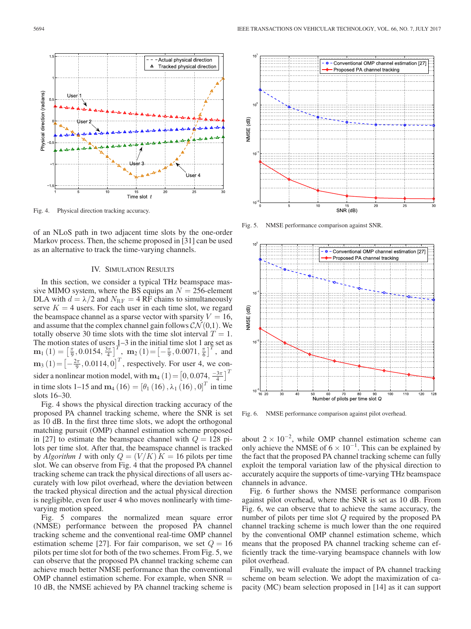

- Actual physical direction

Δ

Tracked physical directio

Fig. 4. Physical direction tracking accuracy.

of an NLoS path in two adjacent time slots by the one-order Markov process. Then, the scheme proposed in [31] can be used as an alternative to track the time-varying channels.

#### IV. SIMULATION RESULTS

In this section, we consider a typical THz beamspace massive MIMO system, where the BS equips an  $N = 256$ -element DLA with  $d = \lambda/2$  and  $N_{\text{RF}} = 4 \text{RF}$  chains to simultaneously serve  $K = 4$  users. For each user in each time slot, we regard the beamspace channel as a sparse vector with sparsity  $V = 16$ , and assume that the complex channel gain follows  $\mathcal{CN}(0,1)$ . We totally observe 30 time slots with the time slot interval  $T = 1$ . The motion states of users  $1-3$  in the initial time slot 1 are set as **m**<sub>1</sub> (1) =  $\left[\frac{\pi}{9}, 0.0154, \frac{3\pi}{4}\right]^T$ , **m**<sub>2</sub> (1) =  $\left[-\frac{\pi}{9}, 0.0071, \frac{\pi}{6}\right]^T$ , and  $\mathbf{m}_3(1) = \left[-\frac{2\pi}{9}, 0.0114, 0\right]^T$ , respectively. For user 4, we consider a nonlinear motion model, with **m**<sub>4</sub> (1) =  $\left[0, 0.074, \frac{-3\pi}{4}\right]^T$ in time slots 1–15 and  $m_4$  (16) = [ $\theta_1$  (16),  $\lambda_1$  (16), 0]<sup>T</sup> in time slots 16–30.

Fig. 4 shows the physical direction tracking accuracy of the proposed PA channel tracking scheme, where the SNR is set as 10 dB. In the first three time slots, we adopt the orthogonal matching pursuit (OMP) channel estimation scheme proposed in [27] to estimate the beamspace channel with  $Q = 128$  pilots per time slot. After that, the beamspace channel is tracked by *Algorithm 1* with only  $Q = (V/K) K = 16$  pilots per time slot. We can observe from Fig. 4 that the proposed PA channel tracking scheme can track the physical directions of all users accurately with low pilot overhead, where the deviation between the tracked physical direction and the actual physical direction is negligible, even for user 4 who moves nonlinearly with timevarying motion speed.

Fig. 5 compares the normalized mean square error (NMSE) performance between the proposed PA channel tracking scheme and the conventional real-time OMP channel estimation scheme [27]. For fair comparison, we set  $Q = 16$ pilots per time slot for both of the two schemes. From Fig. 5, we can observe that the proposed PA channel tracking scheme can achieve much better NMSE performance than the conventional OMP channel estimation scheme. For example, when  $SNR =$ 10 dB, the NMSE achieved by PA channel tracking scheme is



Fig. 5. NMSE performance comparison against SNR.



Fig. 6. NMSE performance comparison against pilot overhead.

about  $2 \times 10^{-2}$ , while OMP channel estimation scheme can only achieve the NMSE of  $6 \times 10^{-1}$ . This can be explained by the fact that the proposed PA channel tracking scheme can fully exploit the temporal variation law of the physical direction to accurately acquire the supports of time-varying THz beamspace channels in advance.

Fig. 6 further shows the NMSE performance comparison against pilot overhead, where the SNR is set as 10 dB. From Fig. 6, we can observe that to achieve the same accuracy, the number of pilots per time slot Q required by the proposed PA channel tracking scheme is much lower than the one required by the conventional OMP channel estimation scheme, which means that the proposed PA channel tracking scheme can efficiently track the time-varying beamspace channels with low pilot overhead.

Finally, we will evaluate the impact of PA channel tracking scheme on beam selection. We adopt the maximization of capacity (MC) beam selection proposed in [14] as it can support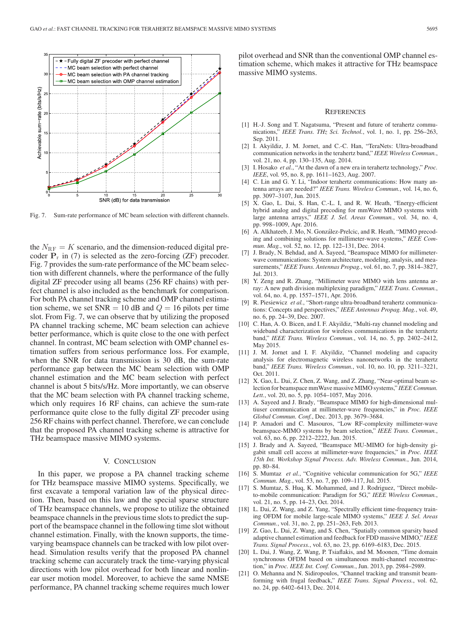

Fig. 7. Sum-rate performance of MC beam selection with different channels.

the  $N_{\text{RF}} = K$  scenario, and the dimension-reduced digital precoder  $P_r$  in (7) is selected as the zero-forcing (ZF) precoder. Fig. 7 provides the sum-rate performance of the MC beam selection with different channels, where the performance of the fully digital ZF precoder using all beams (256 RF chains) with perfect channel is also included as the benchmark for comparison. For both PA channel tracking scheme and OMP channel estimation scheme, we set  $SNR = 10$  dB and  $Q = 16$  pilots per time slot. From Fig. 7, we can observe that by utilizing the proposed PA channel tracking scheme, MC beam selection can achieve better performance, which is quite close to the one with perfect channel. In contrast, MC beam selection with OMP channel estimation suffers from serious performance loss. For example, when the SNR for data transmission is 30 dB, the sum-rate performance gap between the MC beam selection with OMP channel estimation and the MC beam selection with perfect channel is about 5 bits/s/Hz. More importantly, we can observe that the MC beam selection with PA channel tracking scheme, which only requires 16 RF chains, can achieve the sum-rate performance quite close to the fully digital ZF precoder using 256 RF chains with perfect channel. Therefore, we can conclude that the proposed PA channel tracking scheme is attractive for THz beamspace massive MIMO systems.

## V. CONCLUSION

In this paper, we propose a PA channel tracking scheme for THz beamspace massive MIMO systems. Specifically, we first excavate a temporal variation law of the physical direction. Then, based on this law and the special sparse structure of THz beamspace channels, we propose to utilize the obtained beamspace channels in the previous time slots to predict the support of the beamspace channel in the following time slot without channel estimation. Finally, with the known supports, the timevarying beamspace channels can be tracked with low pilot overhead. Simulation results verify that the proposed PA channel tracking scheme can accurately track the time-varying physical directions with low pilot overhead for both linear and nonlinear user motion model. Moreover, to achieve the same NMSE performance, PA channel tracking scheme requires much lower

pilot overhead and SNR than the conventional OMP channel estimation scheme, which makes it attractive for THz beamspace massive MIMO systems.

#### **REFERENCES**

- [1] H.-J. Song and T. Nagatsuma, "Present and future of terahertz communications," *IEEE Trans. THz Sci. Technol.*, vol. 1, no. 1, pp. 256–263, Sep. 2011.
- [2] I. Akyildiz, J. M. Jornet, and C.-C. Han, "TeraNets: Ultra-broadband communication networks in the terahertz band," *IEEE Wireless Commun.*, vol. 21, no. 4, pp. 130–135, Aug. 2014.
- [3] I. Hosako *et al.*, "At the dawn of a new era in terahertz technology," *Proc. IEEE*, vol. 95, no. 8, pp. 1611–1623, Aug. 2007.
- [4] C. Lin and G. Y. Li, "Indoor terahertz communications: How many antenna arrays are needed?" *IEEE Trans. Wireless Commun.*, vol. 14, no. 6, pp. 3097–3107, Jun. 2015.
- [5] X. Gao, L. Dai, S. Han, C.-L. I, and R. W. Heath, "Energy-efficient hybrid analog and digital precoding for mmWave MIMO systems with large antenna arrays," *IEEE J. Sel. Areas Commun.*, vol. 34, no. 4, pp. 998–1009, Apr. 2016.
- [6] A. Alkhateeb, J. Mo, N. González-Prelcic, and R. Heath, "MIMO precoding and combining solutions for millimeter-wave systems," *IEEE Commun. Mag.*, vol. 52, no. 12, pp. 122–131, Dec. 2014.
- [7] J. Brady, N. Behdad, and A. Sayeed, "Beamspace MIMO for millimeterwave communications: System architecture, modeling, analysis, and measurements," *IEEE Trans. Antennas Propag.*, vol. 61, no. 7, pp. 3814–3827, Jul. 2013.
- [8] Y. Zeng and R. Zhang, "Millimeter wave MIMO with lens antenna array: A new path division multiplexing paradigm," *IEEE Trans. Commun.*, vol. 64, no. 4, pp. 1557–1571, Apr. 2016.
- [9] R. Piesiewicz *et al.*, "Short-range ultra-broadband terahertz communications: Concepts and perspectives," *IEEE Antennas Propag. Mag.*, vol. 49, no. 6, pp. 24–39, Dec. 2007.
- [10] C. Han, A. O. Bicen, and I. F. Akyildiz, "Multi-ray channel modeling and wideband characterization for wireless communications in the terahertz band," *IEEE Trans. Wireless Commun.*, vol. 14, no. 5, pp. 2402–2412, May 2015.
- [11] J. M. Jornet and I. F. Akyildiz, "Channel modeling and capacity analysis for electromagnetic wireless nanonetworks in the terahertz band," *IEEE Trans. Wireless Commun.*, vol. 10, no. 10, pp. 3211–3221, Oct. 2011.
- [12] X. Gao, L. Dai, Z. Chen, Z. Wang, and Z. Zhang, "Near-optimal beam selection for beamspace mmWave massive MIMO systems," *IEEE Commun. Lett.*, vol. 20, no. 5, pp. 1054–1057, May 2016.
- [13] A. Sayeed and J. Brady, "Beamspace MIMO for high-dimensional multiuser communication at millimeter-wave frequencies," in *Proc. IEEE Global Commun. Conf.*, Dec. 2013, pp. 3679–3684.
- [14] P. Amadori and C. Masouros, "Low RF-complexity millimeter-wave beamspace-MIMO systems by beam selection," *IEEE Trans. Commun.*, vol. 63, no. 6, pp. 2212–2222, Jun. 2015.
- [15] J. Brady and A. Sayeed, "Beamspace MU-MIMO for high-density gigabit small cell access at millimeter-wave frequencies," in *Proc. IEEE 15th Int. Workshop Signal Process. Adv. Wireless Commun.*, Jun. 2014, pp. 80–84.
- [16] S. Mumtaz *et al.*, "Cognitive vehicular communication for 5G," *IEEE Commun. Mag.*, vol. 53, no. 7, pp. 109–117, Jul. 2015.
- [17] S. Mumtaz, S. Huq, K. Mohammed, and J. Rodriguez, "Direct mobileto-mobile communication: Paradigm for 5G," *IEEE Wireless Commun.*, vol. 21, no. 5, pp. 14–23, Oct. 2014.
- [18] L. Dai, Z. Wang, and Z. Yang, "Spectrally efficient time-frequency training OFDM for mobile large-scale MIMO systems," *IEEE J. Sel. Areas Commun.*, vol. 31, no. 2, pp. 251–263, Feb. 2013.
- [19] Z. Gao, L. Dai, Z. Wang, and S. Chen, "Spatially common sparsity based adaptive channel estimation and feedback for FDD massive MIMO," *IEEE Trans. Signal Process.*, vol. 63, no. 23, pp. 6169–6183, Dec. 2015.
- [20] L. Dai, J. Wang, Z. Wang, P. Tsiaflakis, and M. Moonen, "Time domain synchronous OFDM based on simultaneous multi-channel reconstruction," in *Proc. IEEE Int. Conf. Commun.*, Jun. 2013, pp. 2984–2989.
- [21] O. Mehanna and N. Sidiropoulos, "Channel tracking and transmit beamforming with frugal feedback," *IEEE Trans. Signal Process.*, vol. 62, no. 24, pp. 6402–6413, Dec. 2014.